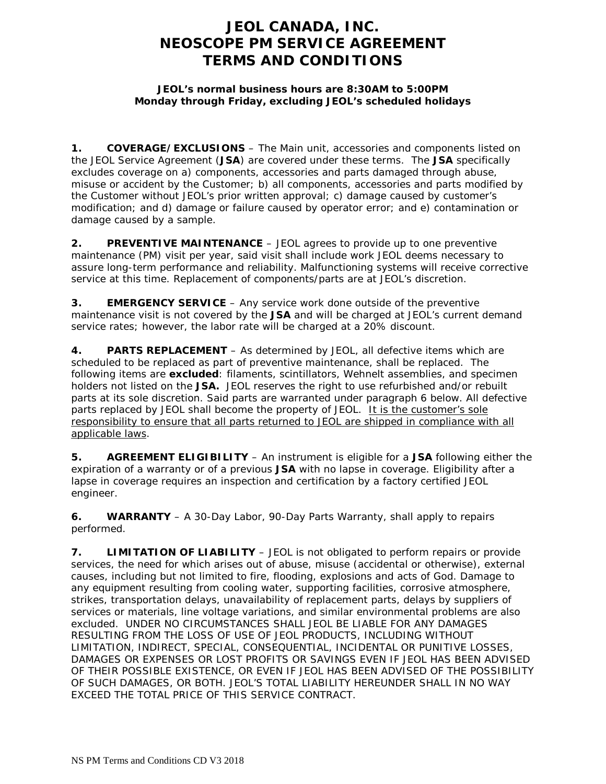## **JEOL CANADA, INC. NEOSCOPE PM SERVICE AGREEMENT TERMS AND CONDITIONS**

## **JEOL's normal business hours are 8:30AM to 5:00PM Monday through Friday, excluding JEOL's scheduled holidays**

**1. COVERAGE/EXCLUSIONS** – The Main unit, accessories and components listed on the JEOL Service Agreement (**JSA**) are covered under these terms. The **JSA** specifically excludes coverage on a) components, accessories and parts damaged through abuse, misuse or accident by the Customer; b) all components, accessories and parts modified by the Customer without JEOL's prior written approval; c) damage caused by customer's modification; and d) damage or failure caused by operator error; and e) contamination or damage caused by a sample.

**2. PREVENTIVE MAINTENANCE** – JEOL agrees to provide up to one preventive maintenance (PM) visit per year, said visit shall include work JEOL deems necessary to assure long-term performance and reliability. Malfunctioning systems will receive corrective service at this time. Replacement of components/parts are at JEOL's discretion.

**3. EMERGENCY SERVICE** – Any service work done outside of the preventive maintenance visit is not covered by the **JSA** and will be charged at JEOL's current demand service rates; however, the labor rate will be charged at a 20% discount.

**4. PARTS REPLACEMENT** – As determined by JEOL, all defective items which are scheduled to be replaced as part of preventive maintenance, shall be replaced. The following items are **excluded**: filaments, scintillators, Wehnelt assemblies, and specimen holders not listed on the **JSA.** JEOL reserves the right to use refurbished and/or rebuilt parts at its sole discretion. Said parts are warranted under paragraph 6 below. All defective parts replaced by JEOL shall become the property of JEOL. It is the customer's sole responsibility to ensure that all parts returned to JEOL are shipped in compliance with all applicable laws.

**5. AGREEMENT ELIGIBILITY** – An instrument is eligible for a **JSA** following either the expiration of a warranty or of a previous **JSA** with no lapse in coverage. Eligibility after a lapse in coverage requires an inspection and certification by a factory certified JEOL engineer.

**6. WARRANTY** – A 30-Day Labor, 90-Day Parts Warranty, shall apply to repairs performed.

**7. LIMITATION OF LIABILITY** – JEOL is not obligated to perform repairs or provide services, the need for which arises out of abuse, misuse (accidental or otherwise), external causes, including but not limited to fire, flooding, explosions and acts of God. Damage to any equipment resulting from cooling water, supporting facilities, corrosive atmosphere, strikes, transportation delays, unavailability of replacement parts, delays by suppliers of services or materials, line voltage variations, and similar environmental problems are also excluded. UNDER NO CIRCUMSTANCES SHALL JEOL BE LIABLE FOR ANY DAMAGES RESULTING FROM THE LOSS OF USE OF JEOL PRODUCTS, INCLUDING WITHOUT LIMITATION, INDIRECT, SPECIAL, CONSEQUENTIAL, INCIDENTAL OR PUNITIVE LOSSES, DAMAGES OR EXPENSES OR LOST PROFITS OR SAVINGS EVEN IF JEOL HAS BEEN ADVISED OF THEIR POSSIBLE EXISTENCE, OR EVEN IF JEOL HAS BEEN ADVISED OF THE POSSIBILITY OF SUCH DAMAGES, OR BOTH. JEOL'S TOTAL LIABILITY HEREUNDER SHALL IN NO WAY EXCEED THE TOTAL PRICE OF THIS SERVICE CONTRACT.